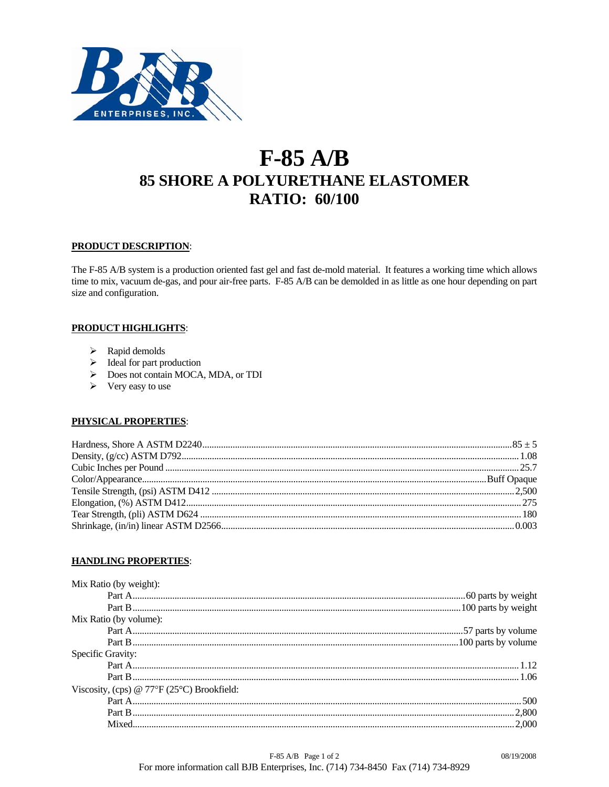

# $F-85$  A/B **85 SHORE A POLYURETHANE ELASTOMER RATIO: 60/100**

# **PRODUCT DESCRIPTION:**

The F-85 A/B system is a production oriented fast gel and fast de-mold material. It features a working time which allows time to mix, vacuum de-gas, and pour air-free parts. F-85 A/B can be demolded in as little as one hour depending on part size and configuration.

# **PRODUCT HIGHLIGHTS:**

- $\triangleright$  Rapid demolds
- $\triangleright$  Ideal for part production
- Does not contain MOCA, MDA, or TDI
- $\triangleright$  Very easy to use

# PHYSICAL PROPERTIES:

# **HANDLING PROPERTIES:**

| Mix Ratio (by weight):                                    |  |
|-----------------------------------------------------------|--|
|                                                           |  |
|                                                           |  |
| Mix Ratio (by volume):                                    |  |
|                                                           |  |
|                                                           |  |
| Specific Gravity:                                         |  |
|                                                           |  |
|                                                           |  |
| Viscosity, (cps) @ $77^{\circ}F(25^{\circ}C)$ Brookfield: |  |
|                                                           |  |
|                                                           |  |
|                                                           |  |